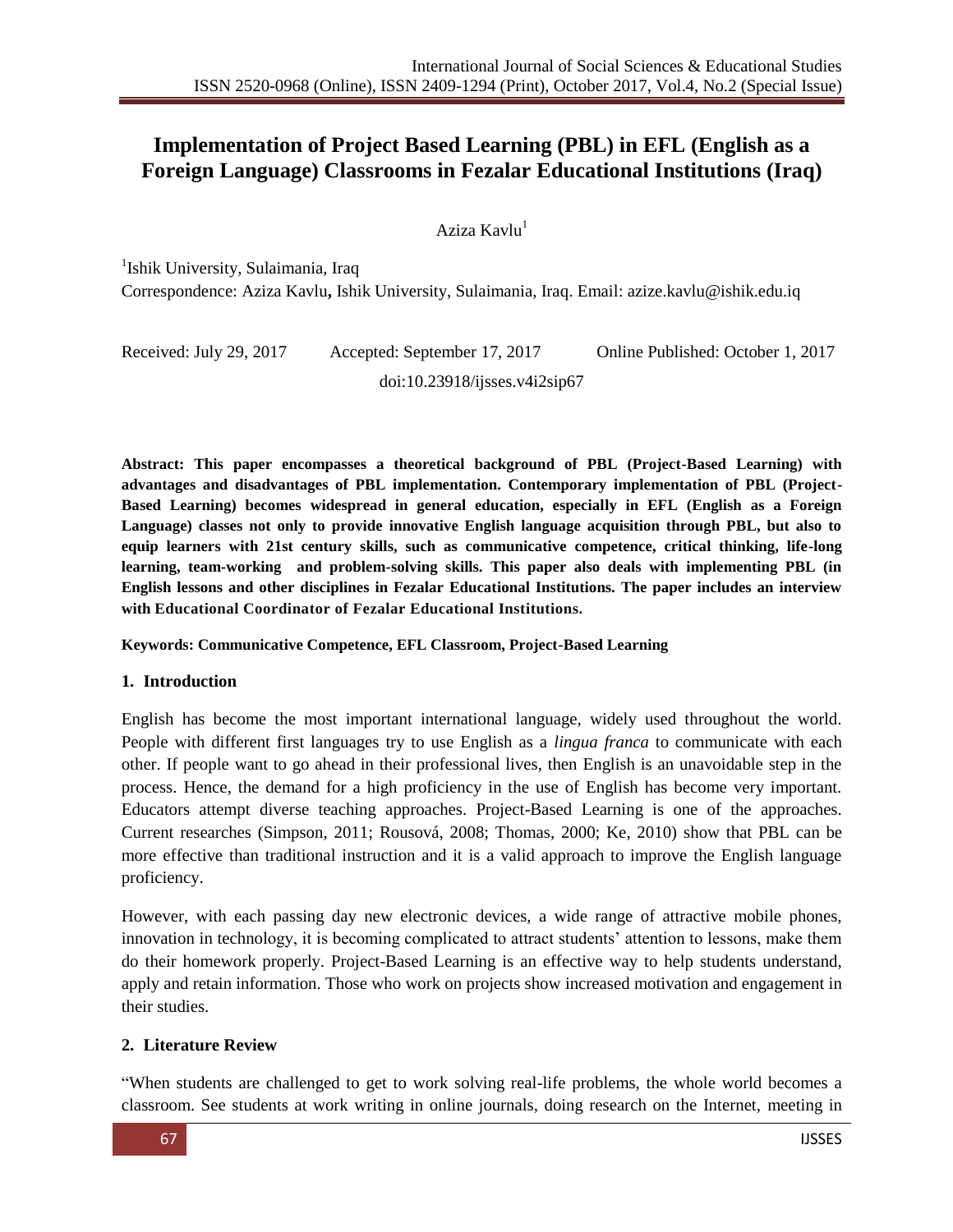# **Implementation of Project Based Learning (PBL) in EFL (English as a Foreign Language) Classrooms in Fezalar Educational Institutions (Iraq)**

Aziza Kavlu<sup>1</sup>

<sup>1</sup>Ishik University, Sulaimania, Iraq

Correspondence: Aziza Kavlu**,** Ishik University, Sulaimania, Iraq. Email: [azize.kavlu@ishik.edu.iq](mailto:azize.kavlu@ishik.edu.iq)

Received: July 29, 2017 Accepted: September 17, 2017 Online Published: October 1, 2017 doi:10.23918/ijsses.v4i2sip67

**Abstract: This paper encompasses a theoretical background of PBL (Project-Based Learning) with advantages and disadvantages of PBL implementation. Contemporary implementation of PBL (Project-Based Learning) becomes widespread in general education, especially in EFL (English as a Foreign Language) classes not only to provide innovative English language acquisition through PBL, but also to equip learners with 21st century skills, such as communicative competence, critical thinking, life-long learning, team-working and problem-solving skills. This paper also deals with implementing PBL (in English lessons and other disciplines in Fezalar Educational Institutions. The paper includes an interview with Educational Coordinator of Fezalar Educational Institutions.**

#### **Keywords: Communicative Competence, EFL Classroom, Project-Based Learning**

#### **1. Introduction**

English has become the most important international language, widely used throughout the world. People with different first languages try to use English as a *lingua franca* to communicate with each other. If people want to go ahead in their professional lives, then English is an unavoidable step in the process. Hence, the demand for a high proficiency in the use of English has become very important. Educators attempt diverse teaching approaches. Project-Based Learning is one of the approaches. Current researches (Simpson, 2011; Rousová, 2008; Thomas, 2000; Ke, 2010) show that PBL can be more effective than traditional instruction and it is a valid approach to improve the English language proficiency.

However, with each passing day new electronic devices, a wide range of attractive mobile phones, innovation in technology, it is becoming complicated to attract students" attention to lessons, make them do their homework properly. Project-Based Learning is an effective way to help students understand, apply and retain information. Those who work on projects show increased motivation and engagement in their studies.

#### **2. Literature Review**

"When students are challenged to get to work solving real-life problems, the whole world becomes a classroom. See students at work writing in online journals, doing research on the Internet, meeting in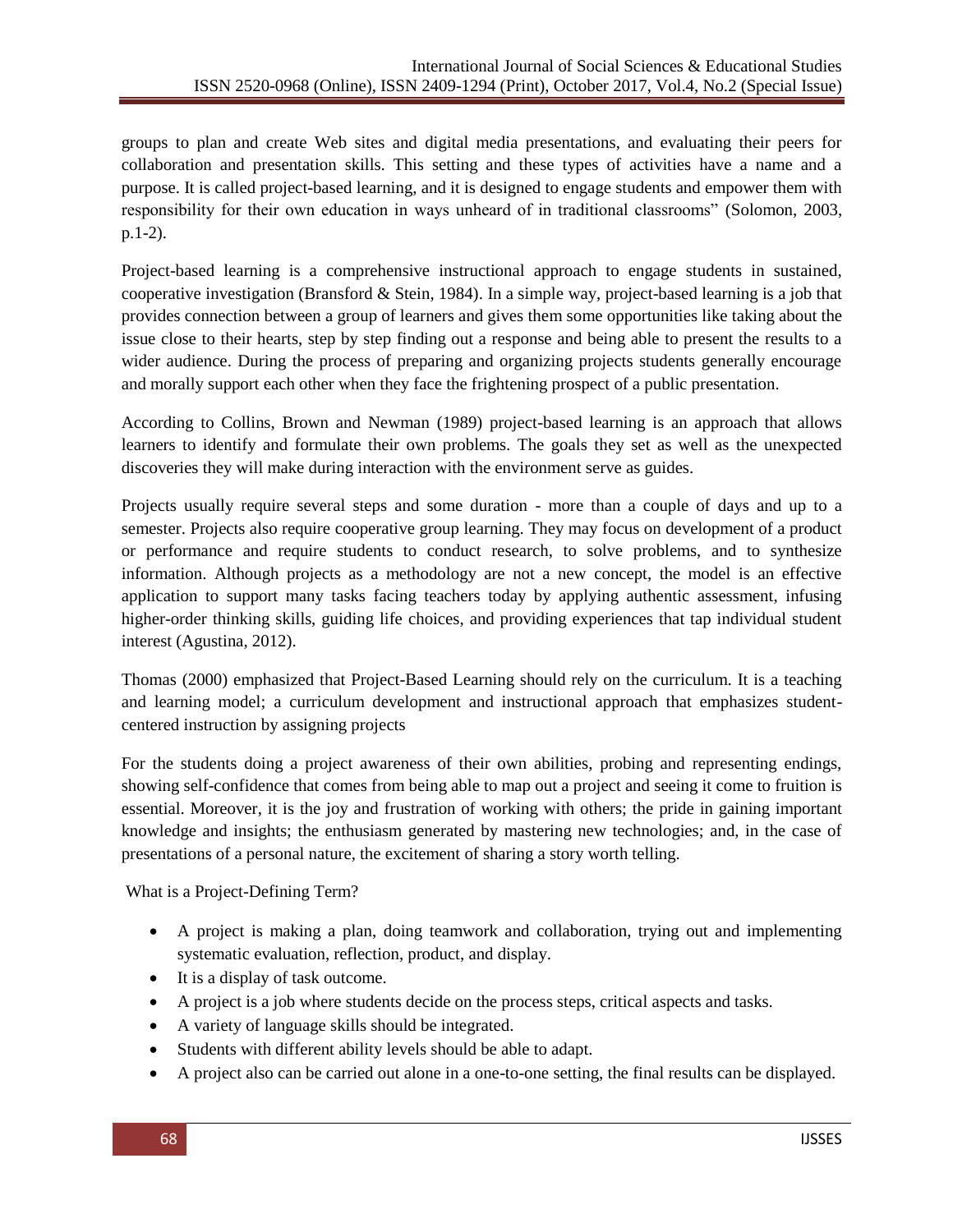groups to plan and create Web sites and digital media presentations, and evaluating their peers for collaboration and presentation skills. This setting and these types of activities have a name and a purpose. It is called project-based learning, and it is designed to engage students and empower them with responsibility for their own education in ways unheard of in traditional classrooms" (Solomon, 2003, p.1-2).

Project-based learning is a comprehensive instructional approach to engage students in sustained, cooperative investigation (Bransford & Stein, 1984). In a simple way, project-based learning is a job that provides connection between a group of learners and gives them some opportunities like taking about the issue close to their hearts, step by step finding out a response and being able to present the results to a wider audience. During the process of preparing and organizing projects students generally encourage and morally support each other when they face the frightening prospect of a public presentation.

According to Collins, Brown and Newman (1989) project-based learning is an approach that allows learners to identify and formulate their own problems. The goals they set as well as the unexpected discoveries they will make during interaction with the environment serve as guides.

Projects usually require several steps and some duration - more than a couple of days and up to a semester. Projects also require cooperative group learning. They may focus on development of a product or performance and require students to conduct research, to solve problems, and to synthesize information. Although projects as a methodology are not a new concept, the model is an effective application to support many tasks facing teachers today by applying authentic assessment, infusing higher-order thinking skills, guiding life choices, and providing experiences that tap individual student interest (Agustina, 2012).

Thomas (2000) emphasized that Project-Based Learning should rely on the curriculum. It is a teaching and learning model; a curriculum development and instructional approach that emphasizes studentcentered instruction by assigning projects

For the students doing a project awareness of their own abilities, probing and representing endings, showing self-confidence that comes from being able to map out a project and seeing it come to fruition is essential. Moreover, it is the joy and frustration of working with others; the pride in gaining important knowledge and insights; the enthusiasm generated by mastering new technologies; and, in the case of presentations of a personal nature, the excitement of sharing a story worth telling.

What is a Project-Defining Term?

- A project is making a plan, doing teamwork and collaboration, trying out and implementing systematic evaluation, reflection, product, and display.
- It is a display of task outcome.
- A project is a job where students decide on the process steps, critical aspects and tasks.
- A variety of language skills should be integrated.
- Students with different ability levels should be able to adapt.
- A project also can be carried out alone in a one-to-one setting, the final results can be displayed.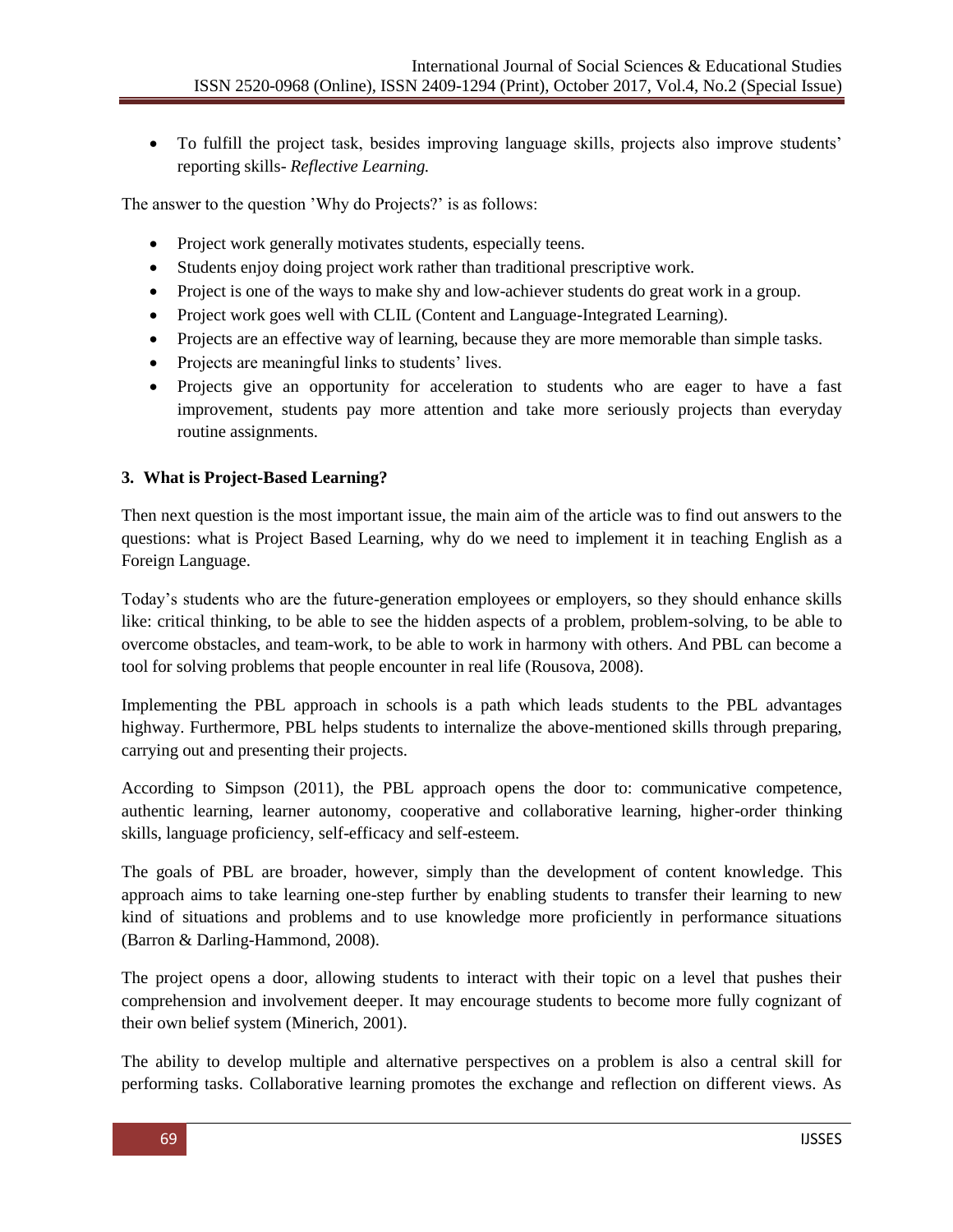• To fulfill the project task, besides improving language skills, projects also improve students' reporting skills- *Reflective Learning.*

The answer to the question 'Why do Projects?' is as follows:

- Project work generally motivates students, especially teens.
- Students enjoy doing project work rather than traditional prescriptive work.
- Project is one of the ways to make shy and low-achiever students do great work in a group.
- Project work goes well with CLIL (Content and Language-Integrated Learning).
- Projects are an effective way of learning, because they are more memorable than simple tasks.
- Projects are meaningful links to students' lives.
- Projects give an opportunity for acceleration to students who are eager to have a fast improvement, students pay more attention and take more seriously projects than everyday routine assignments.

### **3. What is Project-Based Learning?**

Then next question is the most important issue, the main aim of the article was to find out answers to the questions: what is Project Based Learning*,* why do we need to implement it in teaching English as a Foreign Language.

Today"s students who are the future-generation employees or employers, so they should enhance skills like: critical thinking, to be able to see the hidden aspects of a problem, problem-solving, to be able to overcome obstacles, and team-work, to be able to work in harmony with others. And PBL can become a tool for solving problems that people encounter in real life (Rousova, 2008).

Implementing the PBL approach in schools is a path which leads students to the PBL advantages highway. Furthermore, PBL helps students to internalize the above-mentioned skills through preparing, carrying out and presenting their projects.

According to Simpson (2011), the PBL approach opens the door to: communicative competence, authentic learning, learner autonomy, cooperative and collaborative learning, higher-order thinking skills, language proficiency, self-efficacy and self-esteem.

The goals of PBL are broader, however, simply than the development of content knowledge. This approach aims to take learning one-step further by enabling students to transfer their learning to new kind of situations and problems and to use knowledge more proficiently in performance situations (Barron & Darling-Hammond, 2008).

The project opens a door, allowing students to interact with their topic on a level that pushes their comprehension and involvement deeper. It may encourage students to become more fully cognizant of their own belief system (Minerich, 2001).

The ability to develop multiple and alternative perspectives on a problem is also a central skill for performing tasks. Collaborative learning promotes the exchange and reflection on different views. As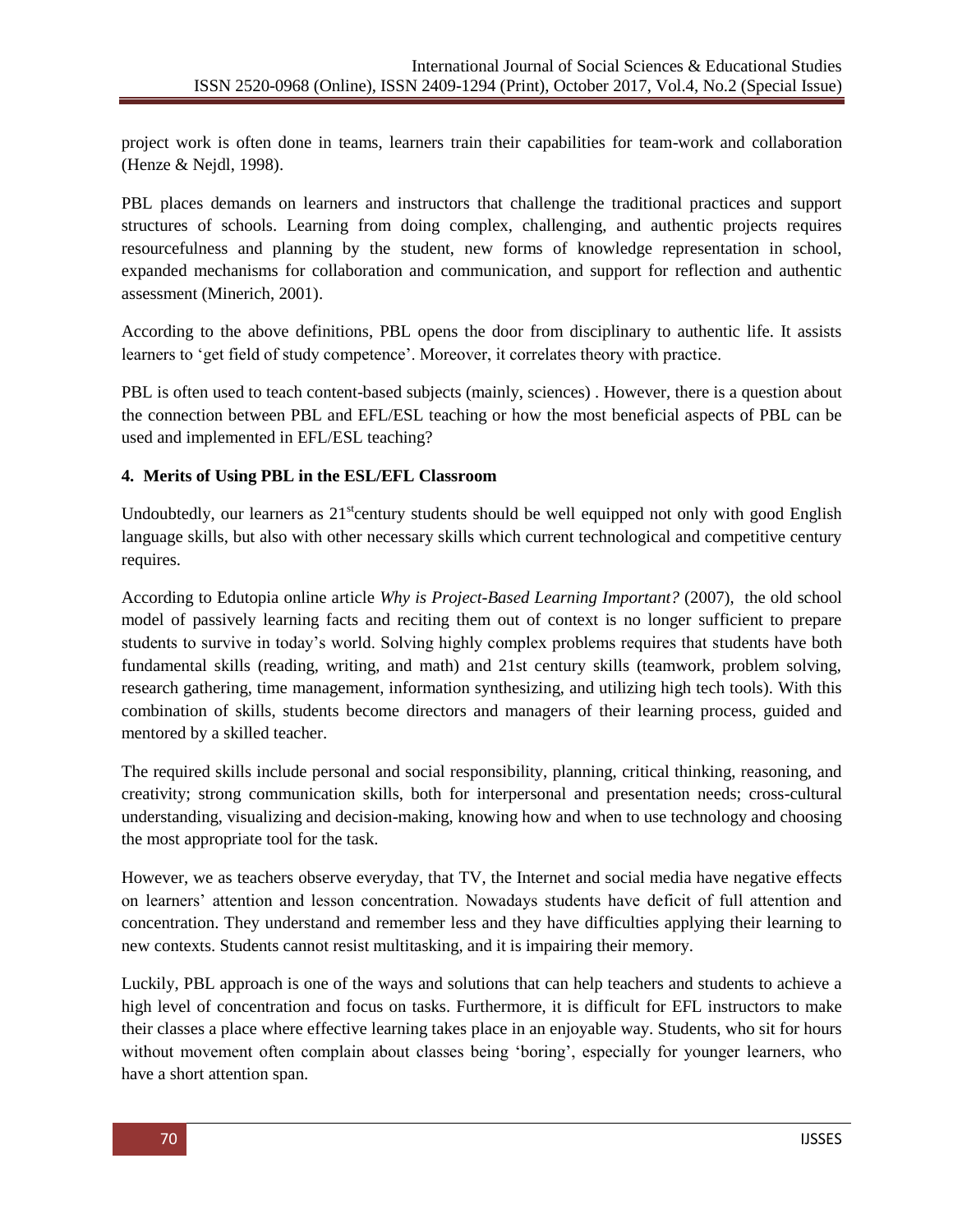project work is often done in teams, learners train their capabilities for team-work and collaboration (Henze & Nejdl, 1998).

PBL places demands on learners and instructors that challenge the traditional practices and support structures of schools. Learning from doing complex, challenging, and authentic projects requires resourcefulness and planning by the student, new forms of knowledge representation in school, expanded mechanisms for collaboration and communication, and support for reflection and authentic assessment (Minerich, 2001).

According to the above definitions, PBL opens the door from disciplinary to authentic life. It assists learners to "get field of study competence". Moreover, it correlates theory with practice.

PBL is often used to teach content-based subjects (mainly, sciences) . However, there is a question about the connection between PBL and EFL/ESL teaching or how the most beneficial aspects of PBL can be used and implemented in EFL/ESL teaching?

## **4. Merits of Using PBL in the ESL/EFL Classroom**

Undoubtedly, our learners as  $21<sup>st</sup>$  century students should be well equipped not only with good English language skills, but also with other necessary skills which current technological and competitive century requires.

According to Edutopia online article *Why is Project-Based Learning Important?* (2007), the old school model of passively learning facts and reciting them out of context is no longer sufficient to prepare students to survive in today"s world. Solving highly complex problems requires that students have both fundamental skills (reading, writing, and math) and 21st century skills (teamwork, problem solving, research gathering, time management, information synthesizing, and utilizing high tech tools). With this combination of skills, students become directors and managers of their learning process, guided and mentored by a skilled teacher.

The required skills include personal and social responsibility, planning, critical thinking, reasoning, and creativity; strong communication skills, both for interpersonal and presentation needs; cross-cultural understanding, visualizing and decision-making, knowing how and when to use technology and choosing the most appropriate tool for the task.

However, we as teachers observe everyday, that TV, the Internet and social media have negative effects on learners" attention and lesson concentration. Nowadays students have deficit of full attention and concentration. They understand and remember less and they have difficulties applying their learning to new contexts. Students cannot resist multitasking, and it is impairing their memory.

Luckily, PBL approach is one of the ways and solutions that can help teachers and students to achieve a high level of concentration and focus on tasks. Furthermore, it is difficult for EFL instructors to make their classes a place where effective learning takes place in an enjoyable way. Students, who sit for hours without movement often complain about classes being 'boring', especially for younger learners, who have a short attention span.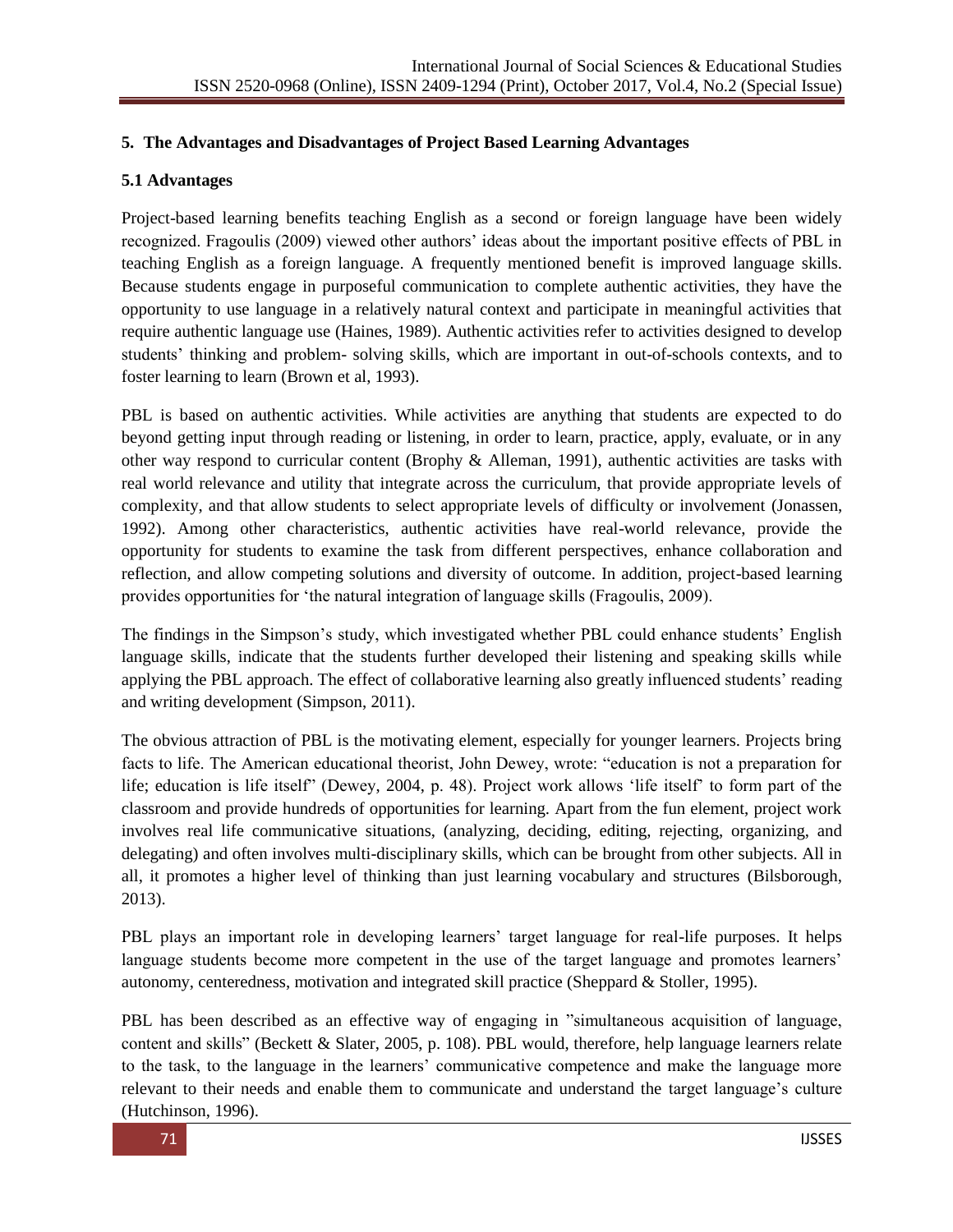### **5. The Advantages and Disadvantages of Project Based Learning Advantages**

#### **5.1 Advantages**

Project-based learning benefits teaching English as a second or foreign language have been widely recognized. Fragoulis (2009) viewed other authors" ideas about the important positive effects of PBL in teaching English as a foreign language. A frequently mentioned benefit is improved language skills. Because students engage in purposeful communication to complete authentic activities, they have the opportunity to use language in a relatively natural context and participate in meaningful activities that require authentic language use (Haines, 1989). Authentic activities refer to activities designed to develop students" thinking and problem- solving skills, which are important in out-of-schools contexts, and to foster learning to learn (Brown et al, 1993).

PBL is based on authentic activities. While activities are anything that students are expected to do beyond getting input through reading or listening, in order to learn, practice, apply, evaluate, or in any other way respond to curricular content (Brophy & Alleman, 1991), authentic activities are tasks with real world relevance and utility that integrate across the curriculum, that provide appropriate levels of complexity, and that allow students to select appropriate levels of difficulty or involvement (Jonassen, 1992). Among other characteristics, authentic activities have real-world relevance, provide the opportunity for students to examine the task from different perspectives, enhance collaboration and reflection, and allow competing solutions and diversity of outcome. In addition, project-based learning provides opportunities for "the natural integration of language skills (Fragoulis, 2009).

The findings in the Simpson"s study, which investigated whether PBL could enhance students" English language skills, indicate that the students further developed their listening and speaking skills while applying the PBL approach. The effect of collaborative learning also greatly influenced students' reading and writing development (Simpson, 2011).

The obvious attraction of PBL is the motivating element, especially for younger learners. Projects bring facts to life. The American educational theorist, John Dewey, wrote: "education is not a preparation for life; education is life itself" (Dewey, 2004, p. 48). Project work allows "life itself" to form part of the classroom and provide hundreds of opportunities for learning. Apart from the fun element, project work involves real life communicative situations, (analyzing, deciding, editing, rejecting, organizing, and delegating) and often involves multi-disciplinary skills, which can be brought from other subjects. All in all, it promotes a higher level of thinking than just learning vocabulary and structures (Bilsborough, 2013).

PBL plays an important role in developing learners' target language for real-life purposes. It helps language students become more competent in the use of the target language and promotes learners' autonomy, centeredness, motivation and integrated skill practice (Sheppard & Stoller, 1995).

PBL has been described as an effective way of engaging in "simultaneous acquisition of language, content and skills" (Beckett & Slater, 2005, p. 108). PBL would, therefore, help language learners relate to the task, to the language in the learners" communicative competence and make the language more relevant to their needs and enable them to communicate and understand the target language"s culture (Hutchinson, 1996).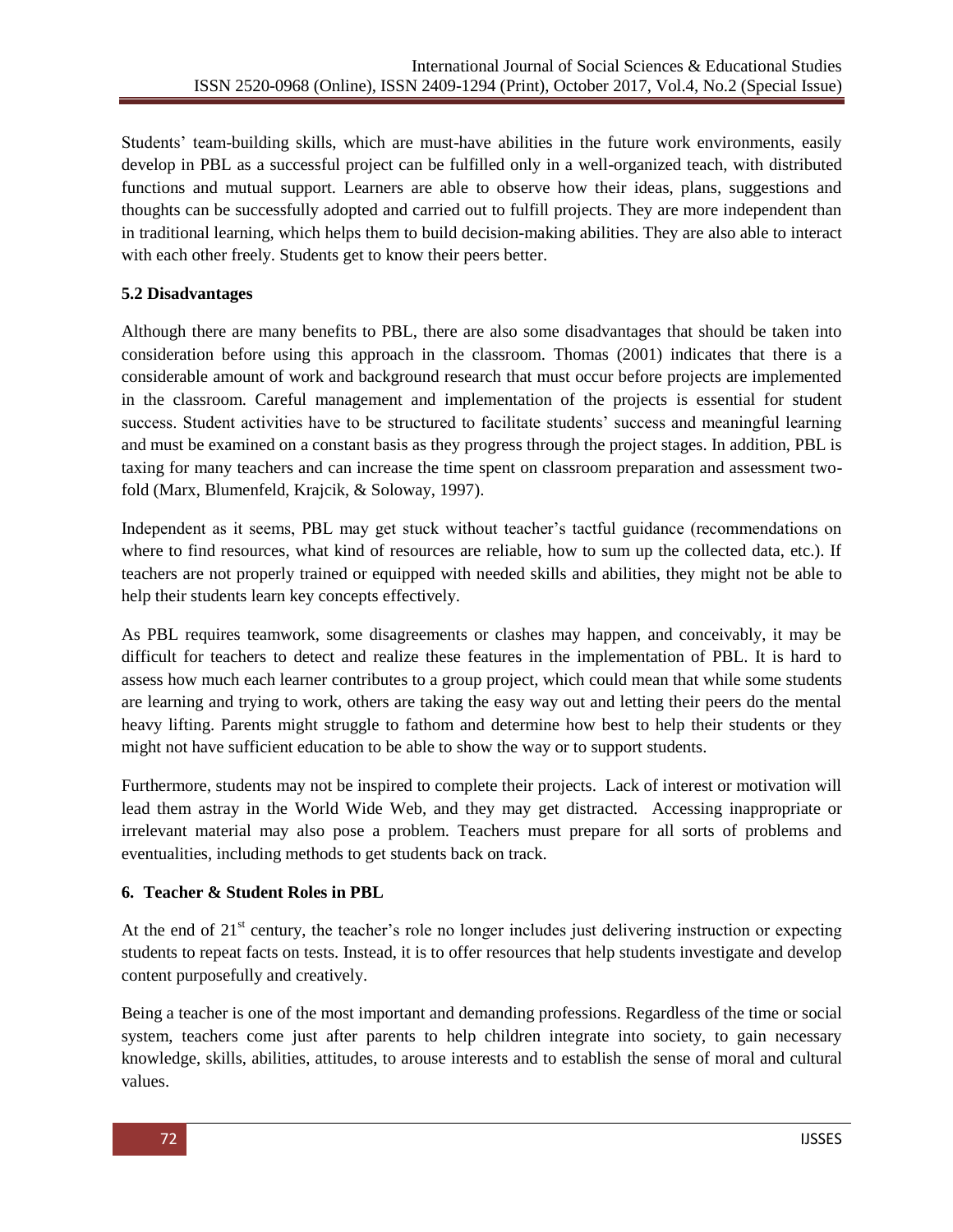Students' team-building skills, which are must-have abilities in the future work environments, easily develop in PBL as a successful project can be fulfilled only in a well-organized teach, with distributed functions and mutual support. Learners are able to observe how their ideas, plans, suggestions and thoughts can be successfully adopted and carried out to fulfill projects. They are more independent than in traditional learning, which helps them to build decision-making abilities. They are also able to interact with each other freely. Students get to know their peers better.

## **5.2 Disadvantages**

Although there are many benefits to PBL, there are also some disadvantages that should be taken into consideration before using this approach in the classroom. Thomas (2001) indicates that there is a considerable amount of work and background research that must occur before projects are implemented in the classroom. Careful management and implementation of the projects is essential for student success. Student activities have to be structured to facilitate students" success and meaningful learning and must be examined on a constant basis as they progress through the project stages. In addition, PBL is taxing for many teachers and can increase the time spent on classroom preparation and assessment twofold (Marx, Blumenfeld, Krajcik, & Soloway, 1997).

Independent as it seems, PBL may get stuck without teacher"s tactful guidance (recommendations on where to find resources, what kind of resources are reliable, how to sum up the collected data, etc.). If teachers are not properly trained or equipped with needed skills and abilities, they might not be able to help their students learn key concepts effectively.

As PBL requires teamwork, some disagreements or clashes may happen, and conceivably, it may be difficult for teachers to detect and realize these features in the implementation of PBL. It is hard to assess how much each learner contributes to a group project, which could mean that while some students are learning and trying to work, others are taking the easy way out and letting their peers do the mental heavy lifting. Parents might struggle to fathom and determine how best to help their students or they might not have sufficient education to be able to show the way or to support students.

Furthermore, students may not be inspired to complete their projects. Lack of interest or motivation will lead them astray in the World Wide Web, and they may get distracted. Accessing inappropriate or irrelevant material may also pose a problem. Teachers must prepare for all sorts of problems and eventualities, including methods to get students back on track.

### **6. Teacher & Student Roles in PBL**

At the end of 21<sup>st</sup> century, the teacher's role no longer includes just delivering instruction or expecting students to repeat facts on tests. Instead, it is to offer resources that help students investigate and develop content purposefully and creatively.

Being a teacher is one of the most important and demanding professions. Regardless of the time or social system, teachers come just after parents to help children integrate into society, to gain necessary knowledge, skills, abilities, attitudes, to arouse interests and to establish the sense of moral and cultural values.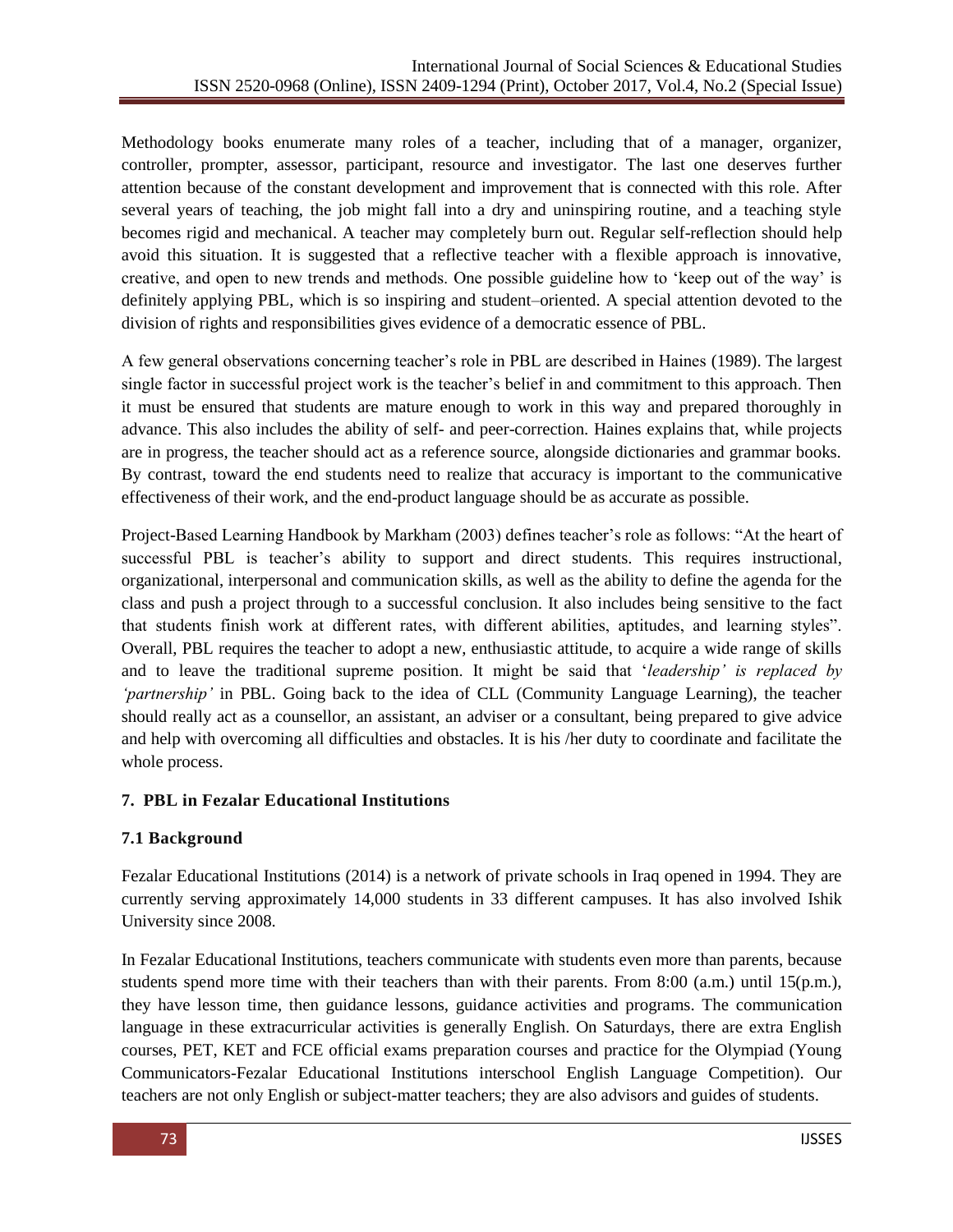Methodology books enumerate many roles of a teacher, including that of a manager, organizer, controller, prompter, assessor, participant, resource and investigator. The last one deserves further attention because of the constant development and improvement that is connected with this role. After several years of teaching, the job might fall into a dry and uninspiring routine, and a teaching style becomes rigid and mechanical. A teacher may completely burn out. Regular self-reflection should help avoid this situation. It is suggested that a reflective teacher with a flexible approach is innovative, creative, and open to new trends and methods. One possible guideline how to "keep out of the way" is definitely applying PBL, which is so inspiring and student–oriented. A special attention devoted to the division of rights and responsibilities gives evidence of a democratic essence of PBL.

A few general observations concerning teacher"s role in PBL are described in Haines (1989). The largest single factor in successful project work is the teacher's belief in and commitment to this approach. Then it must be ensured that students are mature enough to work in this way and prepared thoroughly in advance. This also includes the ability of self- and peer-correction. Haines explains that, while projects are in progress, the teacher should act as a reference source, alongside dictionaries and grammar books. By contrast, toward the end students need to realize that accuracy is important to the communicative effectiveness of their work, and the end-product language should be as accurate as possible.

Project-Based Learning Handbook by Markham (2003) defines teacher"s role as follows: "At the heart of successful PBL is teacher's ability to support and direct students. This requires instructional, organizational, interpersonal and communication skills, as well as the ability to define the agenda for the class and push a project through to a successful conclusion. It also includes being sensitive to the fact that students finish work at different rates, with different abilities, aptitudes, and learning styles". Overall, PBL requires the teacher to adopt a new, enthusiastic attitude, to acquire a wide range of skills and to leave the traditional supreme position. It might be said that "*leadership' is replaced by 'partnership'* in PBL. Going back to the idea of CLL (Community Language Learning), the teacher should really act as a counsellor, an assistant, an adviser or a consultant, being prepared to give advice and help with overcoming all difficulties and obstacles. It is his /her duty to coordinate and facilitate the whole process.

## **7. PBL in Fezalar Educational Institutions**

### **7.1 Background**

Fezalar Educational Institutions (2014) is a network of private schools in Iraq opened in 1994. They are currently serving approximately 14,000 students in 33 different campuses. It has also involved Ishik University since 2008.

In Fezalar Educational Institutions, teachers communicate with students even more than parents, because students spend more time with their teachers than with their parents. From 8:00 (a.m.) until 15(p.m.), they have lesson time, then guidance lessons, guidance activities and programs. The communication language in these extracurricular activities is generally English. On Saturdays, there are extra English courses, PET, KET and FCE official exams preparation courses and practice for the Olympiad (Young Communicators-Fezalar Educational Institutions interschool English Language Competition). Our teachers are not only English or subject-matter teachers; they are also advisors and guides of students.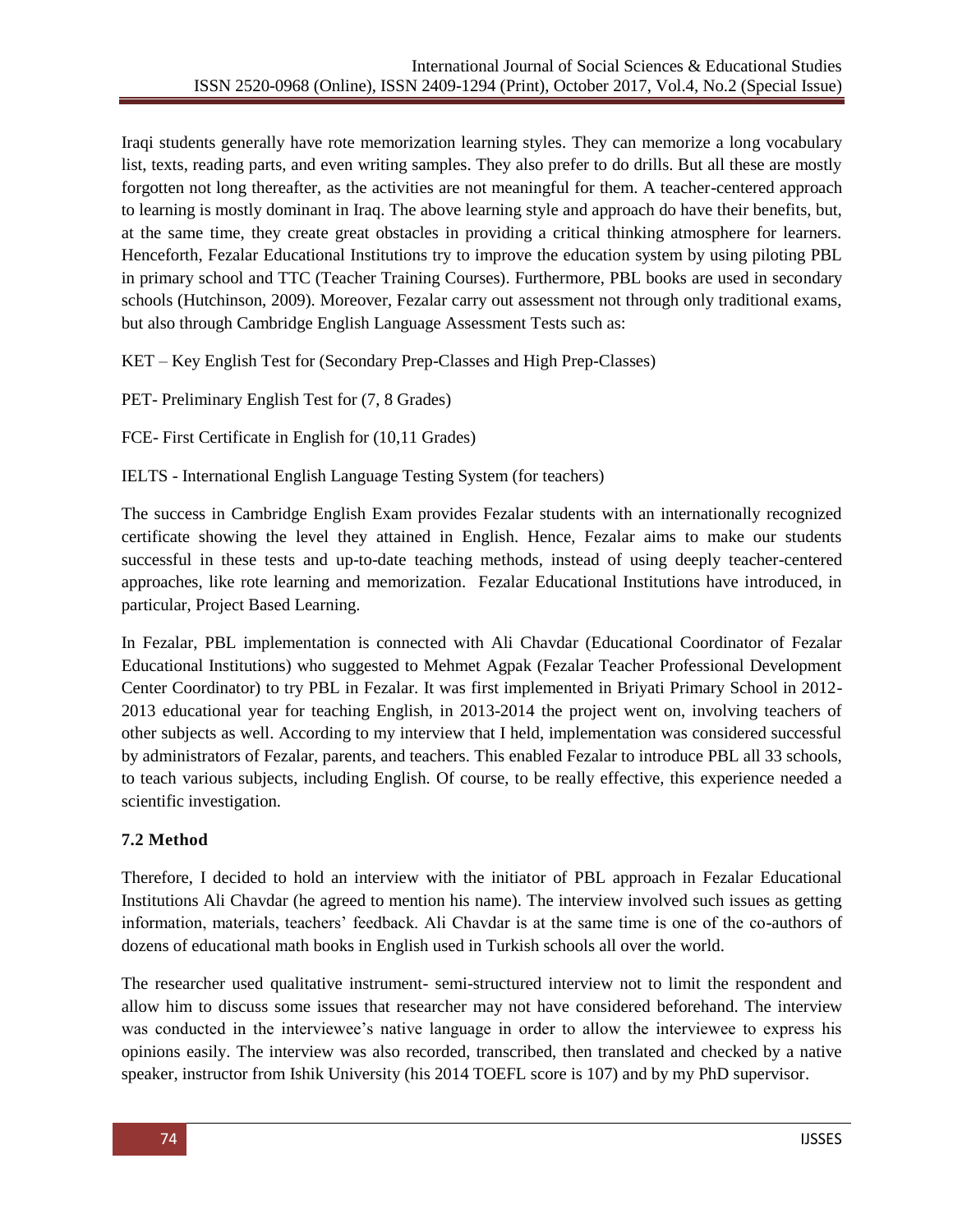Iraqi students generally have rote memorization learning styles. They can memorize a long vocabulary list, texts, reading parts, and even writing samples. They also prefer to do drills. But all these are mostly forgotten not long thereafter, as the activities are not meaningful for them. A teacher-centered approach to learning is mostly dominant in Iraq. The above learning style and approach do have their benefits, but, at the same time, they create great obstacles in providing a critical thinking atmosphere for learners. Henceforth, Fezalar Educational Institutions try to improve the education system by using piloting PBL in primary school and TTC (Teacher Training Courses). Furthermore, PBL books are used in secondary schools (Hutchinson, 2009). Moreover, Fezalar carry out assessment not through only traditional exams, but also through Cambridge English Language Assessment Tests such as:

KET – Key English Test for (Secondary Prep-Classes and High Prep-Classes)

PET- Preliminary English Test for (7, 8 Grades)

FCE- First Certificate in English for (10,11 Grades)

IELTS - International English Language Testing System (for teachers)

The success in Cambridge English Exam provides Fezalar students with an internationally recognized certificate showing the level they attained in English. Hence, Fezalar aims to make our students successful in these tests and up-to-date teaching methods, instead of using deeply teacher-centered approaches, like rote learning and memorization. Fezalar Educational Institutions have introduced, in particular, Project Based Learning.

In Fezalar, PBL implementation is connected with Ali Chavdar (Educational Coordinator of Fezalar Educational Institutions) who suggested to Mehmet Agpak (Fezalar Teacher Professional Development Center Coordinator) to try PBL in Fezalar. It was first implemented in Briyati Primary School in 2012- 2013 educational year for teaching English, in 2013-2014 the project went on, involving teachers of other subjects as well. According to my interview that I held, implementation was considered successful by administrators of Fezalar, parents, and teachers. This enabled Fezalar to introduce PBL all 33 schools, to teach various subjects, including English. Of course, to be really effective, this experience needed a scientific investigation.

### **7.2 Method**

Therefore, I decided to hold an interview with the initiator of PBL approach in Fezalar Educational Institutions Ali Chavdar (he agreed to mention his name). The interview involved such issues as getting information, materials, teachers" feedback. Ali Chavdar is at the same time is one of the co-authors of dozens of educational math books in English used in Turkish schools all over the world.

The researcher used qualitative instrument- semi-structured interview not to limit the respondent and allow him to discuss some issues that researcher may not have considered beforehand. The interview was conducted in the interviewee"s native language in order to allow the interviewee to express his opinions easily. The interview was also recorded, transcribed, then translated and checked by a native speaker, instructor from Ishik University (his 2014 TOEFL score is 107) and by my PhD supervisor.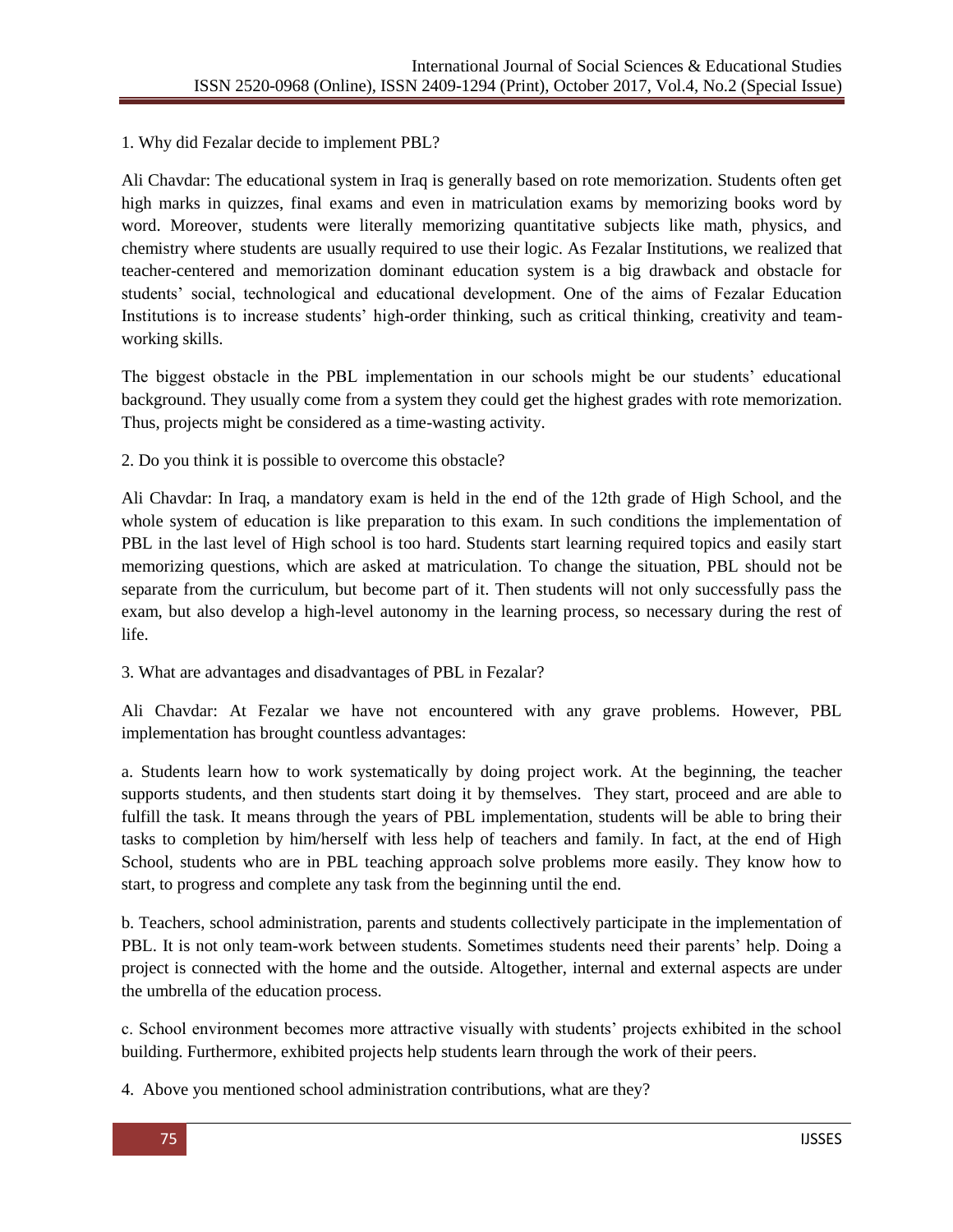#### 1. Why did Fezalar decide to implement PBL?

Ali Chavdar: The educational system in Iraq is generally based on rote memorization. Students often get high marks in quizzes, final exams and even in matriculation exams by memorizing books word by word. Moreover, students were literally memorizing quantitative subjects like math, physics, and chemistry where students are usually required to use their logic. As Fezalar Institutions, we realized that teacher-centered and memorization dominant education system is a big drawback and obstacle for students" social, technological and educational development. One of the aims of Fezalar Education Institutions is to increase students' high-order thinking, such as critical thinking, creativity and teamworking skills.

The biggest obstacle in the PBL implementation in our schools might be our students" educational background. They usually come from a system they could get the highest grades with rote memorization. Thus, projects might be considered as a time-wasting activity.

2. Do you think it is possible to overcome this obstacle?

Ali Chavdar: In Iraq, a mandatory exam is held in the end of the 12th grade of High School, and the whole system of education is like preparation to this exam. In such conditions the implementation of PBL in the last level of High school is too hard. Students start learning required topics and easily start memorizing questions, which are asked at matriculation. To change the situation, PBL should not be separate from the curriculum, but become part of it. Then students will not only successfully pass the exam, but also develop a high-level autonomy in the learning process, so necessary during the rest of life.

### 3. What are advantages and disadvantages of PBL in Fezalar?

Ali Chavdar: At Fezalar we have not encountered with any grave problems. However, PBL implementation has brought countless advantages:

a. Students learn how to work systematically by doing project work. At the beginning, the teacher supports students, and then students start doing it by themselves. They start, proceed and are able to fulfill the task. It means through the years of PBL implementation, students will be able to bring their tasks to completion by him/herself with less help of teachers and family. In fact, at the end of High School, students who are in PBL teaching approach solve problems more easily. They know how to start, to progress and complete any task from the beginning until the end.

b. Teachers, school administration, parents and students collectively participate in the implementation of PBL. It is not only team-work between students. Sometimes students need their parents' help. Doing a project is connected with the home and the outside. Altogether, internal and external aspects are under the umbrella of the education process.

c. School environment becomes more attractive visually with students" projects exhibited in the school building. Furthermore, exhibited projects help students learn through the work of their peers.

4. Above you mentioned school administration contributions, what are they?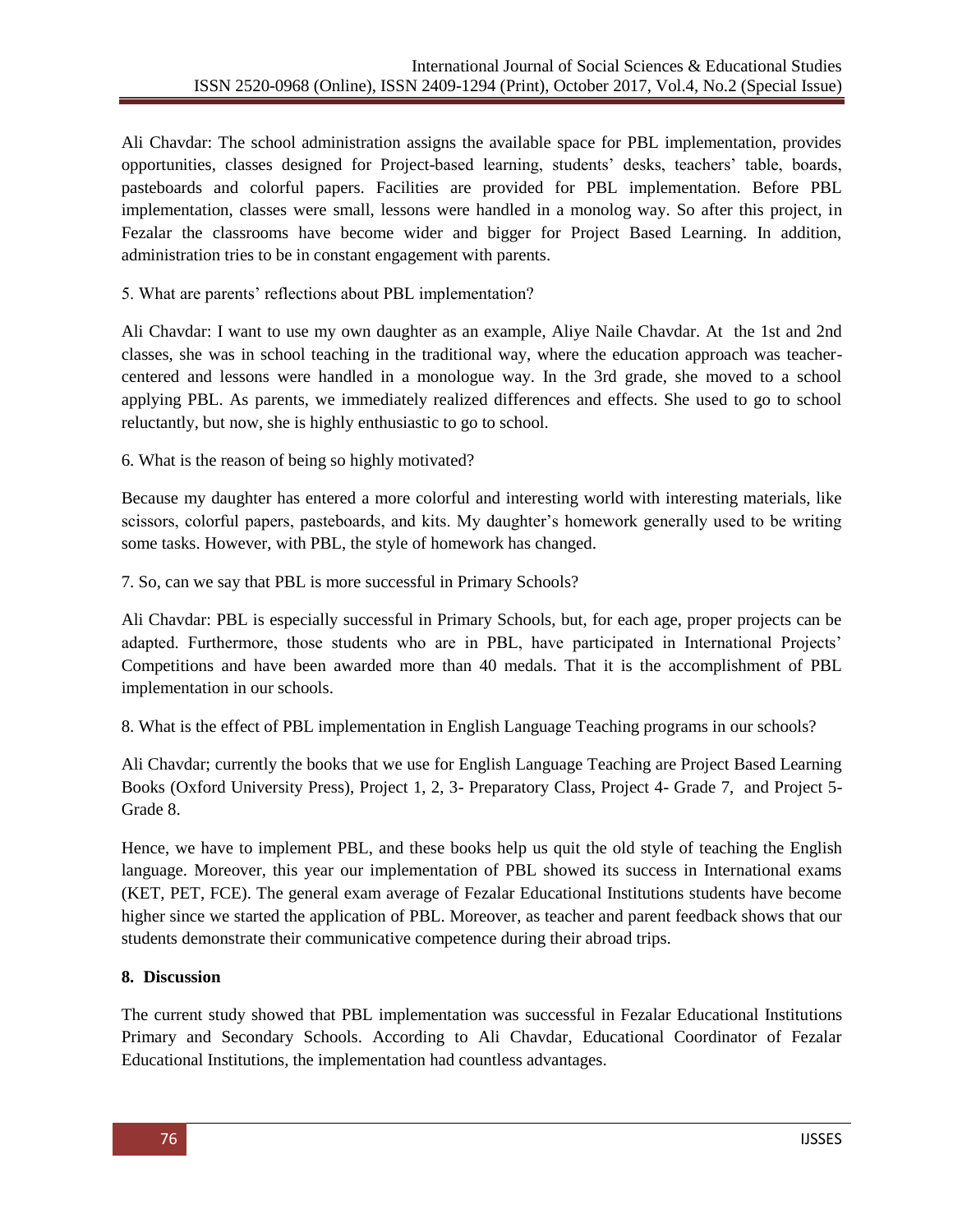Ali Chavdar: The school administration assigns the available space for PBL implementation, provides opportunities, classes designed for Project-based learning, students" desks, teachers" table, boards, pasteboards and colorful papers. Facilities are provided for PBL implementation. Before PBL implementation, classes were small, lessons were handled in a monolog way. So after this project, in Fezalar the classrooms have become wider and bigger for Project Based Learning. In addition, administration tries to be in constant engagement with parents.

5. What are parents" reflections about PBL implementation?

Ali Chavdar: I want to use my own daughter as an example, Aliye Naile Chavdar. At the 1st and 2nd classes, she was in school teaching in the traditional way, where the education approach was teachercentered and lessons were handled in a monologue way. In the 3rd grade, she moved to a school applying PBL. As parents, we immediately realized differences and effects. She used to go to school reluctantly, but now, she is highly enthusiastic to go to school.

6. What is the reason of being so highly motivated?

Because my daughter has entered a more colorful and interesting world with interesting materials, like scissors, colorful papers, pasteboards, and kits. My daughter's homework generally used to be writing some tasks. However, with PBL, the style of homework has changed.

7. So, can we say that PBL is more successful in Primary Schools?

Ali Chavdar: PBL is especially successful in Primary Schools, but, for each age, proper projects can be adapted. Furthermore, those students who are in PBL, have participated in International Projects" Competitions and have been awarded more than 40 medals. That it is the accomplishment of PBL implementation in our schools.

8. What is the effect of PBL implementation in English Language Teaching programs in our schools?

Ali Chavdar; currently the books that we use for English Language Teaching are Project Based Learning Books (Oxford University Press), Project 1, 2, 3- Preparatory Class, Project 4- Grade 7, and Project 5- Grade 8.

Hence, we have to implement PBL, and these books help us quit the old style of teaching the English language. Moreover, this year our implementation of PBL showed its success in International exams (KET, PET, FCE). The general exam average of Fezalar Educational Institutions students have become higher since we started the application of PBL. Moreover, as teacher and parent feedback shows that our students demonstrate their communicative competence during their abroad trips.

## **8. Discussion**

The current study showed that PBL implementation was successful in Fezalar Educational Institutions Primary and Secondary Schools. According to Ali Chavdar, Educational Coordinator of Fezalar Educational Institutions, the implementation had countless advantages.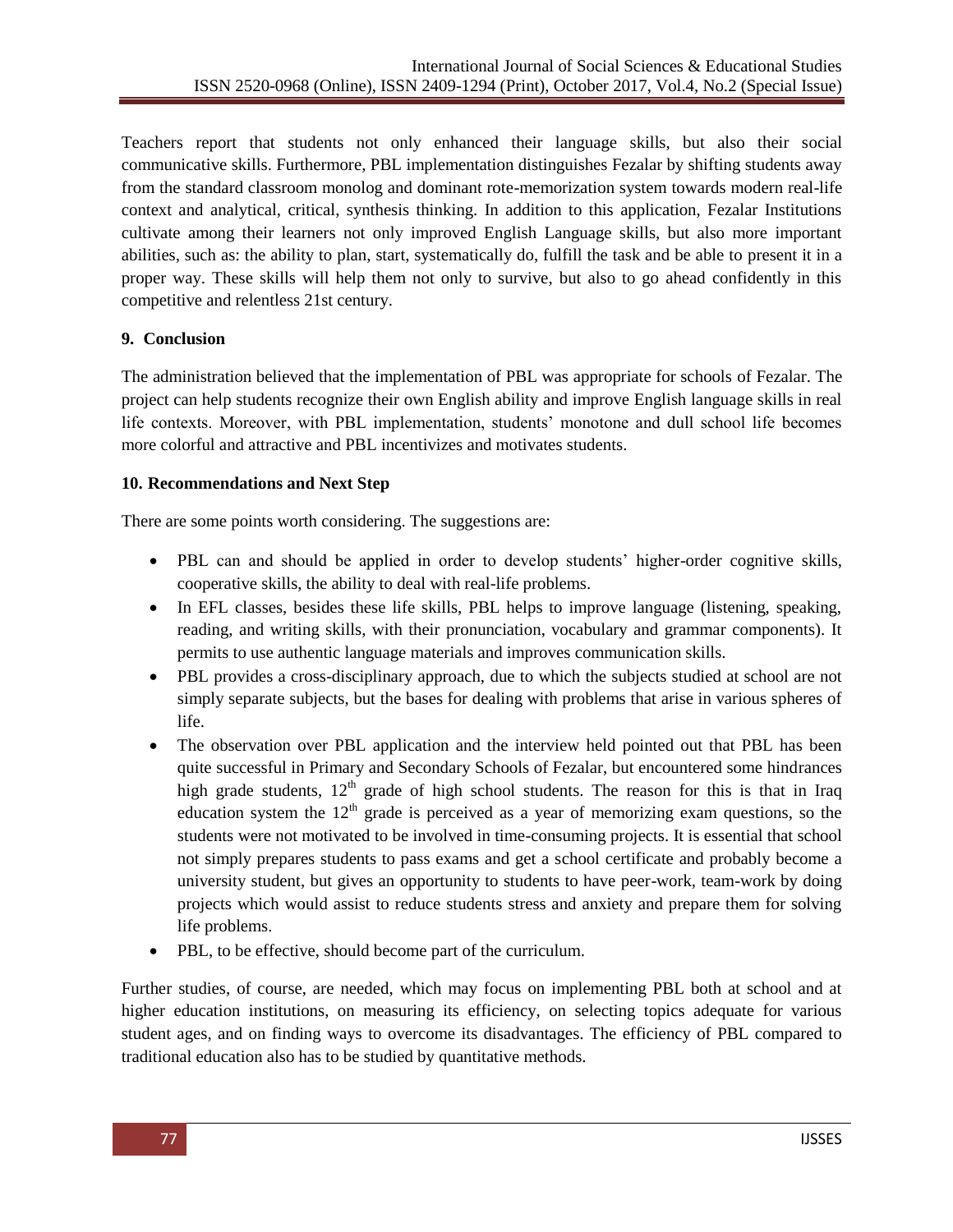Teachers report that students not only enhanced their language skills, but also their social communicative skills. Furthermore, PBL implementation distinguishes Fezalar by shifting students away from the standard classroom monolog and dominant rote-memorization system towards modern real-life context and analytical, critical, synthesis thinking. In addition to this application, Fezalar Institutions cultivate among their learners not only improved English Language skills, but also more important abilities, such as: the ability to plan, start, systematically do, fulfill the task and be able to present it in a proper way. These skills will help them not only to survive, but also to go ahead confidently in this competitive and relentless 21st century.

## **9. Conclusion**

The administration believed that the implementation of PBL was appropriate for schools of Fezalar. The project can help students recognize their own English ability and improve English language skills in real life contexts. Moreover, with PBL implementation, students' monotone and dull school life becomes more colorful and attractive and PBL incentivizes and motivates students.

## **10. Recommendations and Next Step**

There are some points worth considering. The suggestions are:

- PBL can and should be applied in order to develop students' higher-order cognitive skills, cooperative skills, the ability to deal with real-life problems.
- In EFL classes, besides these life skills, PBL helps to improve language (listening, speaking, reading, and writing skills, with their pronunciation, vocabulary and grammar components). It permits to use authentic language materials and improves communication skills.
- PBL provides a cross-disciplinary approach, due to which the subjects studied at school are not simply separate subjects, but the bases for dealing with problems that arise in various spheres of life.
- The observation over PBL application and the interview held pointed out that PBL has been quite successful in Primary and Secondary Schools of Fezalar, but encountered some hindrances high grade students,  $12<sup>th</sup>$  grade of high school students. The reason for this is that in Iraq education system the  $12<sup>th</sup>$  grade is perceived as a year of memorizing exam questions, so the students were not motivated to be involved in time-consuming projects. It is essential that school not simply prepares students to pass exams and get a school certificate and probably become a university student, but gives an opportunity to students to have peer-work, team-work by doing projects which would assist to reduce students stress and anxiety and prepare them for solving life problems.
- PBL, to be effective, should become part of the curriculum.

Further studies, of course, are needed, which may focus on implementing PBL both at school and at higher education institutions, on measuring its efficiency, on selecting topics adequate for various student ages, and on finding ways to overcome its disadvantages. The efficiency of PBL compared to traditional education also has to be studied by quantitative methods.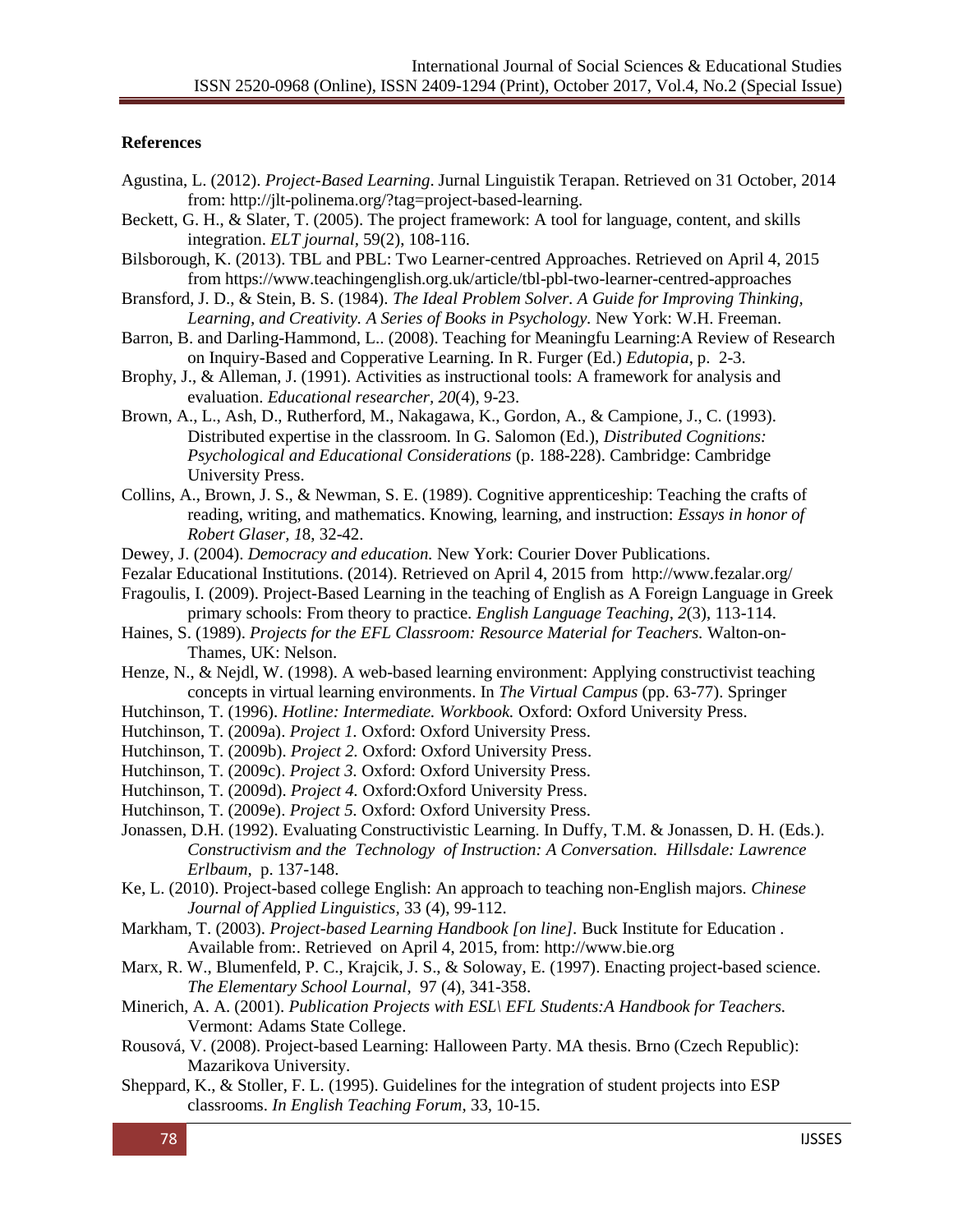#### **References**

- Agustina, L. (2012). *Project-Based Learning*. Jurnal Linguistik Terapan. Retrieved on 31 October, 2014 from: http://jlt-polinema.org/?tag=project-based-learning.
- Beckett, G. H., & Slater, T. (2005). The project framework: A tool for language, content, and skills integration. *ELT journal,* 59(2), 108-116.
- Bilsborough, K. (2013). TBL and PBL: Two Learner-centred Approaches. Retrieved on April 4, 2015 from https://www.teachingenglish.org.uk/article/tbl-pbl-two-learner-centred-approaches
- Bransford, J. D., & Stein, B. S. (1984). *The Ideal Problem Solver. A Guide for Improving Thinking, Learning, and Creativity. A Series of Books in Psychology.* New York: W.H. Freeman.
- Barron, B. and Darling-Hammond, L.. (2008). Teaching for Meaningfu Learning:A Review of Research on Inquiry-Based and Copperative Learning. In R. Furger (Ed.) *Edutopia*, p. 2-3.
- Brophy, J., & Alleman, J. (1991). Activities as instructional tools: A framework for analysis and evaluation. *Educational researcher, 20*(4), 9-23.
- Brown, A., L., Ash, D., Rutherford, M., Nakagawa, K., Gordon, A., & Campione, J., C. (1993). Distributed expertise in the classroom. In G. Salomon (Ed.), *Distributed Cognitions: Psychological and Educational Considerations* (p. 188-228). Cambridge: Cambridge University Press.
- Collins, A., Brown, J. S., & Newman, S. E. (1989). Cognitive apprenticeship: Teaching the crafts of reading, writing, and mathematics. Knowing, learning, and instruction: *Essays in honor of Robert Glaser, 1*8, 32-42.
- Dewey, J. (2004). *Democracy and education.* New York: Courier Dover Publications.
- Fezalar Educational Institutions. (2014). Retrieved on April 4, 2015 from http://www.fezalar.org/
- Fragoulis, I. (2009). Project-Based Learning in the teaching of English as A Foreign Language in Greek primary schools: From theory to practice. *English Language Teaching, 2*(3), 113-114.
- Haines, S. (1989). *Projects for the EFL Classroom: Resource Material for Teachers.* Walton-on-Thames, UK: Nelson.
- Henze, N., & Nejdl, W. (1998). A web-based learning environment: Applying constructivist teaching concepts in virtual learning environments. In *The Virtual Campus* (pp. 63-77). Springer
- Hutchinson, T. (1996). *Hotline: Intermediate. Workbook.* Oxford: Oxford University Press.
- Hutchinson, T. (2009a). *Project 1.* Oxford: Oxford University Press.
- Hutchinson, T. (2009b). *Project 2.* Oxford: Oxford University Press.
- Hutchinson, T. (2009c). *Project 3.* Oxford: Oxford University Press.
- Hutchinson, T. (2009d). *Project 4.* Oxford:Oxford University Press.
- Hutchinson, T. (2009e). *Project 5.* Oxford: Oxford University Press.
- Jonassen, D.H. (1992). Evaluating Constructivistic Learning. In Duffy, T.M. & Jonassen, D. H. (Eds.). *Constructivism and the Technology of Instruction: A Conversation. Hillsdale: Lawrence Erlbaum,* p. 137-148.
- Ke, L. (2010). Project-based college English: An approach to teaching non-English majors. *Chinese Journal of Applied Linguistics,* 33 (4), 99-112.
- Markham, T. (2003). *Project-based Learning Handbook [on line].* Buck Institute for Education *.*  Available from:. Retrieved on April 4, 2015, from: http://www.bie.org
- Marx, R. W., Blumenfeld, P. C., Krajcik, J. S., & Soloway, E. (1997). Enacting project-based science. *The Elementary School Lournal*, 97 (4), 341-358.
- Minerich, A. A. (2001). *Publication Projects with ESL\ EFL Students:A Handbook for Teachers.* Vermont: Adams State College.
- Rousová, V. (2008). Project-based Learning: Halloween Party. MA thesis. Brno (Czech Republic): Mazarikova University.
- Sheppard, K., & Stoller, F. L. (1995). Guidelines for the integration of student projects into ESP classrooms. *In English Teaching Forum*, 33, 10-15.